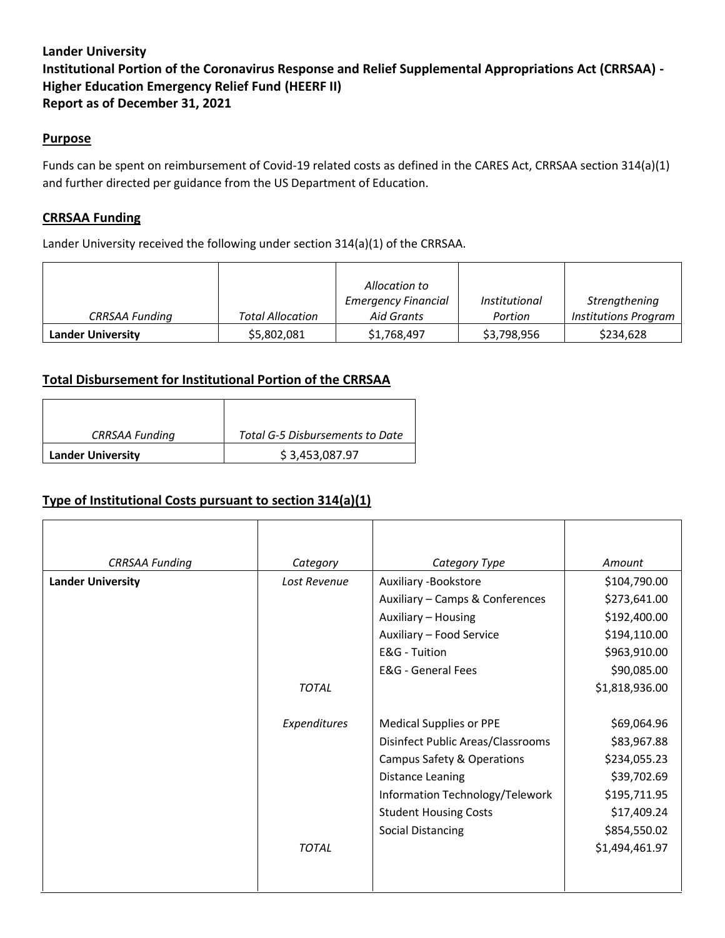# **Lander University Institutional Portion of the Coronavirus Response and Relief Supplemental Appropriations Act (CRRSAA) - Higher Education Emergency Relief Fund (HEERF II) Report as of December 31, 2021**

#### **Purpose**

Funds can be spent on reimbursement of Covid-19 related costs as defined in the CARES Act, CRRSAA section 314(a)(1) and further directed per guidance from the US Department of Education.

### **CRRSAA Funding**

Lander University received the following under section 314(a)(1) of the CRRSAA.

|                          |                         | Allocation to                            |                                 |                                              |
|--------------------------|-------------------------|------------------------------------------|---------------------------------|----------------------------------------------|
| <b>CRRSAA Funding</b>    | <b>Total Allocation</b> | <b>Emergency Financial</b><br>Aid Grants | <i>Institutional</i><br>Portion | Strengthening<br><b>Institutions Program</b> |
| <b>Lander University</b> | \$5,802,081             | \$1,768,497                              | \$3,798,956                     | \$234,628                                    |

#### **Total Disbursement for Institutional Portion of the CRRSAA**

| <b>CRRSAA Funding</b>    | Total G-5 Disbursements to Date |  |
|--------------------------|---------------------------------|--|
| <b>Lander University</b> | \$3,453,087.97                  |  |

### **Type of Institutional Costs pursuant to section 314(a)(1)**

| <b>CRRSAA Funding</b>    | Category                             | Category Type                     | Amount         |
|--------------------------|--------------------------------------|-----------------------------------|----------------|
| <b>Lander University</b> | Lost Revenue<br>Auxiliary -Bookstore |                                   | \$104,790.00   |
|                          |                                      | Auxiliary - Camps & Conferences   | \$273,641.00   |
|                          |                                      | Auxiliary - Housing               | \$192,400.00   |
|                          |                                      | Auxiliary - Food Service          | \$194,110.00   |
|                          |                                      | E&G - Tuition                     | \$963,910.00   |
|                          |                                      | <b>E&amp;G</b> - General Fees     | \$90,085.00    |
|                          | <b>TOTAL</b>                         |                                   | \$1,818,936.00 |
|                          |                                      |                                   |                |
|                          | Expenditures                         | <b>Medical Supplies or PPE</b>    | \$69,064.96    |
|                          |                                      | Disinfect Public Areas/Classrooms | \$83,967.88    |
|                          |                                      | Campus Safety & Operations        | \$234,055.23   |
|                          |                                      | <b>Distance Leaning</b>           | \$39,702.69    |
|                          |                                      | Information Technology/Telework   | \$195,711.95   |
|                          |                                      | <b>Student Housing Costs</b>      | \$17,409.24    |
|                          |                                      | <b>Social Distancing</b>          | \$854,550.02   |
|                          | <b>TOTAL</b>                         |                                   | \$1,494,461.97 |
|                          |                                      |                                   |                |
|                          |                                      |                                   |                |